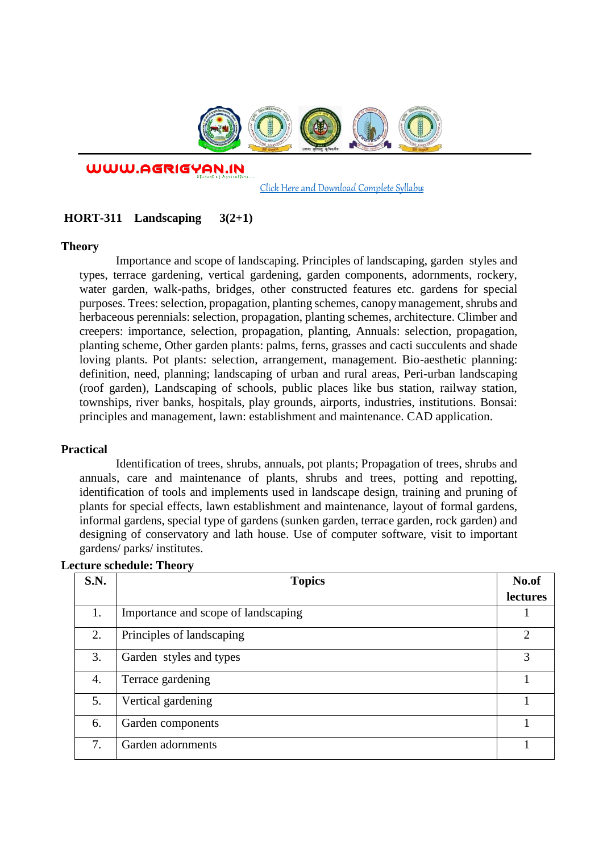

WWW.AGRIGYAN.IN

[Click Here and Download Complete Syllabus](http://agrigyan.in/)

## **HORT-311 Landscaping 3(2+1)**

### **Theory**

 $\overline{a}$ 

Importance and scope of landscaping. Principles of landscaping, garden styles and types, terrace gardening, vertical gardening, garden components, adornments, rockery, water garden, walk-paths, bridges, other constructed features etc. gardens for special purposes. Trees: selection, propagation, planting schemes, canopy management, shrubs and herbaceous perennials: selection, propagation, planting schemes, architecture. Climber and creepers: importance, selection, propagation, planting, Annuals: selection, propagation, planting scheme, Other garden plants: palms, ferns, grasses and cacti succulents and shade loving plants. Pot plants: selection, arrangement, management. Bio-aesthetic planning: definition, need, planning; landscaping of urban and rural areas, Peri-urban landscaping (roof garden), Landscaping of schools, public places like bus station, railway station, townships, river banks, hospitals, play grounds, airports, industries, institutions. Bonsai: principles and management, lawn: establishment and maintenance. CAD application.

### **Practical**

Identification of trees, shrubs, annuals, pot plants; Propagation of trees, shrubs and annuals, care and maintenance of plants, shrubs and trees, potting and repotting, identification of tools and implements used in landscape design, training and pruning of plants for special effects, lawn establishment and maintenance, layout of formal gardens, informal gardens, special type of gardens (sunken garden, terrace garden, rock garden) and designing of conservatory and lath house. Use of computer software, visit to important gardens/ parks/ institutes.

| S.N. | <b>Topics</b>                       | No.of         |
|------|-------------------------------------|---------------|
|      |                                     | lectures      |
| 1.   | Importance and scope of landscaping |               |
| 2.   | Principles of landscaping           | $\mathcal{D}$ |
| 3.   | Garden styles and types             | 3             |
| 4.   | Terrace gardening                   |               |
| 5.   | Vertical gardening                  |               |
| 6.   | Garden components                   |               |
| 7.   | Garden adornments                   |               |

### **Lecture schedule: Theory**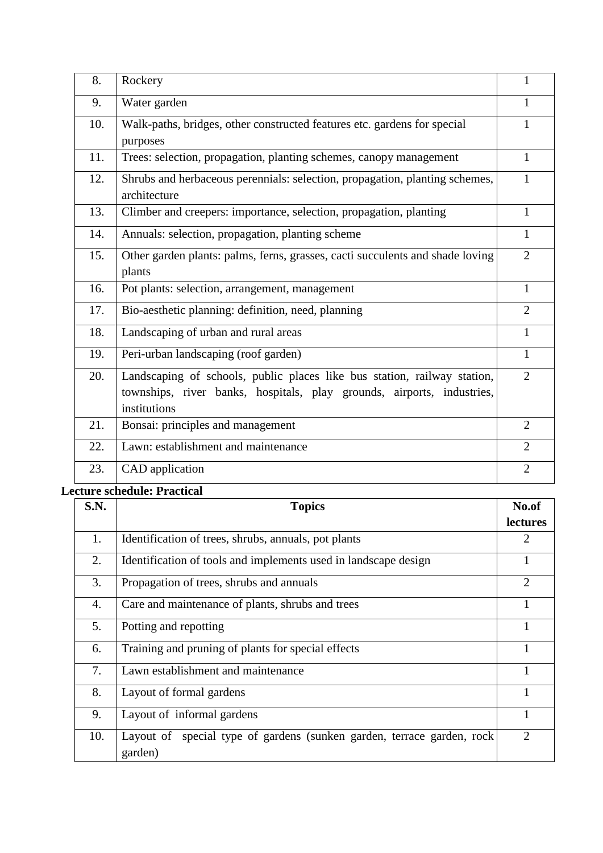| 8.  | Rockery                                                                                                                                                            | 1              |
|-----|--------------------------------------------------------------------------------------------------------------------------------------------------------------------|----------------|
| 9.  | Water garden                                                                                                                                                       | 1              |
| 10. | Walk-paths, bridges, other constructed features etc. gardens for special<br>purposes                                                                               | 1              |
| 11. | Trees: selection, propagation, planting schemes, canopy management                                                                                                 | 1              |
| 12. | Shrubs and herbaceous perennials: selection, propagation, planting schemes,<br>architecture                                                                        | 1              |
| 13. | Climber and creepers: importance, selection, propagation, planting                                                                                                 | 1              |
| 14. | Annuals: selection, propagation, planting scheme                                                                                                                   | 1              |
| 15. | Other garden plants: palms, ferns, grasses, cacti succulents and shade loving<br>plants                                                                            | $\overline{2}$ |
| 16. | Pot plants: selection, arrangement, management                                                                                                                     | 1              |
| 17. | Bio-aesthetic planning: definition, need, planning                                                                                                                 | $\overline{2}$ |
| 18. | Landscaping of urban and rural areas                                                                                                                               | 1              |
| 19. | Peri-urban landscaping (roof garden)                                                                                                                               | 1              |
| 20. | Landscaping of schools, public places like bus station, railway station,<br>townships, river banks, hospitals, play grounds, airports, industries,<br>institutions | $\overline{2}$ |
| 21. | Bonsai: principles and management                                                                                                                                  | $\overline{2}$ |
| 22. | Lawn: establishment and maintenance                                                                                                                                | $\overline{2}$ |
| 23. | CAD application                                                                                                                                                    | $\overline{2}$ |

# **Lecture schedule: Practical**

| S.N. | <b>Topics</b>                                                                     | No.of           |
|------|-----------------------------------------------------------------------------------|-----------------|
|      |                                                                                   | <b>lectures</b> |
| 1.   | Identification of trees, shrubs, annuals, pot plants                              | 2               |
| 2.   | Identification of tools and implements used in landscape design                   |                 |
| 3.   | Propagation of trees, shrubs and annuals                                          | $\overline{2}$  |
| 4.   | Care and maintenance of plants, shrubs and trees                                  | 1               |
| 5.   | Potting and repotting                                                             | 1               |
| 6.   | Training and pruning of plants for special effects                                |                 |
| 7.   | Lawn establishment and maintenance                                                |                 |
| 8.   | Layout of formal gardens                                                          | 1               |
| 9.   | Layout of informal gardens                                                        |                 |
| 10.  | Layout of special type of gardens (sunken garden, terrace garden, rock<br>garden) | $\overline{2}$  |